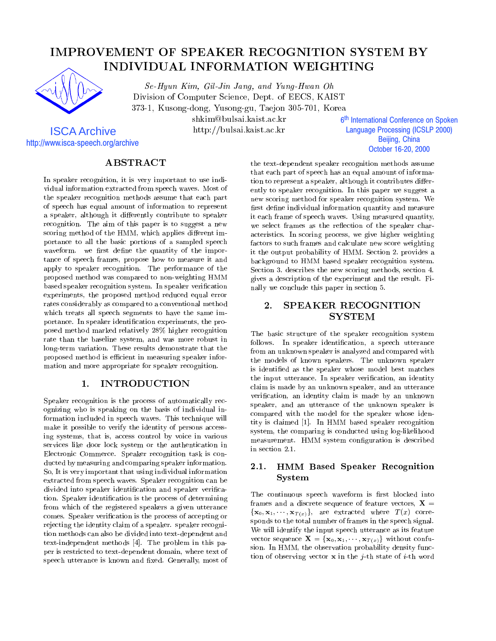# IMPROVEMENT OF SPEAKER RECOGNITION SYSTEM BY INDIVIDUAL INFORMATION WEIGHTING



ISCA Archive http://www.isca-speech.org/archive

Se-Hyun Kim, Gil-Jin Jang, and Yung-Hwan Oh Division of Computer Science, Dept. of EECS, KAIST 373-1, Kusong-dong, Yusong-gu, Taejon 305-701, Korea

shkim@bulsai.kaist.ac.kr

http://bulsai.kaist.ac.kr

6<sup>th</sup> International Conference on Spoken İ **Language Processing (ICSLP 2000)** Beijing, China October 16-20, 2000

# **ABSTRACT**

In speaker recognition, it is very important to use individual information extracted from speech waves. Most of the speaker recognition methods assume that each part of speech has equal amount of information to represent a speaker, although it differently contribute to speaker recognition. The aim of this paper is to suggest a new scoring method of the HMM, which applies different importance to all the basic portions of a sampled speech waveform, we first define the quantity of the importance of speech frames, propose how to measure it and apply to speaker recognition. The performance of the proposed method was compared to non-weighting HMM based speaker recognition system. In speaker verification experiments, the proposed method reduced equal error rates considerably as compared to a conventional method which treats all speech segments to have the same importance. In speaker identification experiments, the proposed method marked relatively 28% higher recognition rate than the baseline system, and was more robust in long-term variation. These results demonstrate that the proposed method is efficient in measuring speaker information and more appropriate for speaker recognition.

### **INTRODUCTION** <u>1. International property</u>

Speaker recognition is the process of automatically recognizing who is speaking on the basis of individual information included in speech waves. This technique will make it possible to verify the identity of persons accessing systems, that is, access control by voice in various services like door lock system or the authentication in Electronic Commerce. Speaker recognition task is conducted by measuring and comparing speaker information. So, It is very important that using individual information extracted from speech waves. Speaker recognition can be divided into speaker identification and speaker verification. Speaker identication is the process of determining from which of the registered speakers a given utterance comes. Speaker verication is the process of accepting or rejecting the identity claim of a speaker. speaker recognition methods can also be divided into text-dependent and text-independent methods [4]. The problem in this paper is restricted to text-dependent domain, where text of speech utterance is known and fixed. Generally, most of

the text-dependent speaker recognition methods assume that each part of speech has an equal amount of information to represent a speaker, although it contributes differently to speaker recognition. In this paper we suggest a new scoring method for speaker recognition system. We first define individual information quantity and measure it each frame of speech waves. Using measured quantity, we select frames as the reflection of the speaker characteristics. In scoring process, we give higher weighting factors to such frames and calculate new score weighting it the output probability of HMM. Section 2. provides a background to HMM based speaker recognition system. Section 3. describes the new scoring methods, section 4. gives a description of the experiment and the result. Finally we conclude this paper in section 5.

# **SPEAKER RECOGNITION** 2. **SYSTEM**

The basic structure of the speaker recognition system follows. In speaker identification, a speech utterance from an unknown speaker is analyzed and compared with the models of known speakers. The unknown speaker is identied as the speaker whose model best matches the input utterance. In speaker verication, an identity claim is made by an unknown speaker, and an utterance verication, an identity claim is made by an unknown speaker, and an utterance of the unknown speaker is compared with the model for the speaker whose identity is claimed [1]. In HMM based speaker recognition system, the comparing is conducted using log-likelihood measurement. HMM system configuration is described in section 2.1.

### 2.1. HMM Based Speaker Recognition System

The continuous speech waveform is first blocked into frames and a discrete sequence of feature vectors,  $X =$  $\{x_0, x_1, \cdots, x_{T(x)}\},\$ are extracted where  $T(x)$  corresponds to the total number of frames in the speech signal. We will identify the input speech utterance as its feature vector sequence  $\mathbf{X} = {\mathbf{x}_0, \mathbf{x}_1, \cdots, \mathbf{x}_{T(x)}}$  without confusion. In HMM, the observation probability density function of observing vector  $x$  in the j-th state of i-th word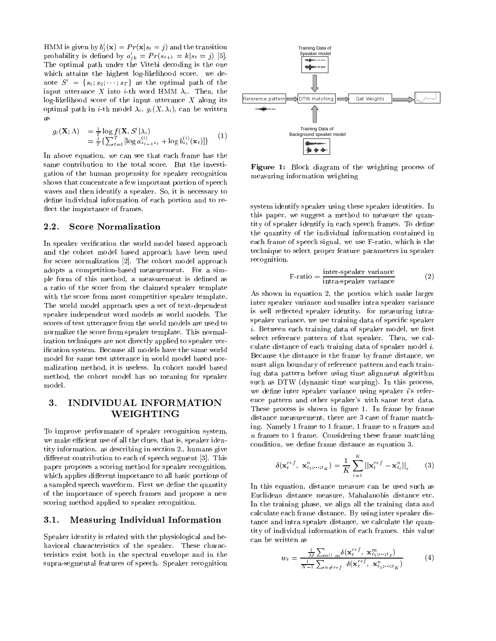HMM is given by  $b_j^i(\mathbf{x}) = Pr(\mathbf{x}|s_t = j)$  and the transition probability is defined by  $a_{ik}^i = Pr(s_{t+1} = k | s_t = j)$  [5]. The optimal path under the Vitebi decoding is the one which attains the highest log-likelihood score. we denote  $S^i = \{s_1; s_2; \dots; s_T\}$  as the optimal path of the input utterance X into *i*-th word HMM  $\lambda_i$ . Then, the log-likelihood score of the input utterance  $X$  along its optimal path in *i*-th model  $\lambda_i$ ,  $g_i(X, \lambda_i)$ , can be written as

$$
g_i(\mathbf{X}; \Lambda) = \frac{1}{T} \log f(\mathbf{X}, S^i | \lambda_i) = \frac{1}{T} \{ \sum_{t=1}^T [\log a_{s_{t-1}s_t}^{(i)} + \log b_{s_t}^{(i)}(\mathbf{x}_t)] \}
$$
(1)

In above equation, we can see that each frame has the same contribution to the total score. But the investigation of the human propensity for speaker recognition shows that concentrate a few important portion of speech waves and then identify a speaker. So, it is necessary to define individual information of each portion and to reflect the importance of frames.

### 2.2.Score Normalization

In speaker verification the world model based approach and the cohort model based approach have been used for score normalization [2]. The cohort model approach adopts a competition-based measurement. For a simple form of this method, a measurement is defined as a ratio of the score from the claimed speaker template with the score from most competitive speaker template. The world model approach uses a set of text-dependent speaker independent word models as world models. The scores of test utterance from the world models are used to normalize the score from speaker template. This normalization techniques are not directly applied to speaker verication system. Because all models have the same world model for same test utterance in world model based normalization method, it is useless. In cohort model based method, the cohort model has no meaning for speaker model.

## 3. INDIVIDUAL INFORMATION З. WEIGHTING

To improve performance of speaker recognition system, we make efficient use of all the clues, that is, speaker identity information. as describing in section 2., humans give different contribution to each of speech segment [3]. This paper proposes a scoring method for speaker recognition, which applies different importance to all basic portions of a sampled speech waveform. First we define the quantity of the importance of speech frames and propose a new scoring method applied to speaker recognition.

### 3.1.Measuring Individual Information

Speaker identity is related with the physiological and behavioral characteristics of the speaker. These characteristics exist both in the spectral envelope and in the supra-segmental features of speech. Speaker recognition



Figure 1: Block diagram of the weighting process of measuring information weighting

system identify speaker using these speaker identities. In this paper, we suggest a method to measure the quantity of speaker identify in each speech frames. To define the quantity of the individual information contained in each frame of speech signal, we use F-ratio, which is the technique to select proper feature parameters in speaker recognition.

$$
F\text{-ratio} = \frac{\text{inter-speaker variance}}{\text{intra-speaker variance}} \tag{2}
$$

As shown in equation 2, the portion which make larger inter speaker variance and smaller intra speaker variance is well reflected speaker identity. for measuring intraspeaker variance, we use training data of specic speaker  $i.$  Between each training data of speaker model, we first select reference pattern of that speaker. Then, we calculate distance of each training data of speaker model i. Because the distance is the frame by frame distance, we must align boundary of reference pattern and each training data pattern before using time alignment algorithm such as DTW (dynamic time warping). In this process, we define inter speaker variance using speaker  $i$ 's reference pattern and other speaker's with same text data. These process is shown in figure 1. In frame by frame distance measurement, there are 3 case of frame matching. Namely 1 frame to 1 frame, 1 frame to n frames and n frames to 1 frame. Considering these frame matching condition, we define frame distance as equation 3.

$$
\delta(\mathbf{x}_{t}^{ref}, \mathbf{x}_{t_1;\cdots;t_K}^n) = \frac{1}{K} \sum_{i=1}^{K} ||\mathbf{x}_{t}^{ref} - \mathbf{x}_{t_i}^n||_{\epsilon} \qquad (3)
$$

In this equation, distance measure can be used such as Euclidean distance measure, Mahalanobis distance etc. In the training phase, we align all the training data and calculate each frame distance. By using inter speaker distance and intra speaker distance, we calculate the quantity of individual information of each frames. this value can be written as

$$
w_t = \frac{\frac{1}{M} \sum_{all \space m} \delta(\mathbf{x}_t^{ref}, \mathbf{x}_{t_1; \dots; t_J}^m)}{\frac{1}{N-1} \sum_{n \neq ref} \delta(\mathbf{x}_t^{ref}, \mathbf{x}_{t_1; \dots; t_K}^n)}
$$
(4)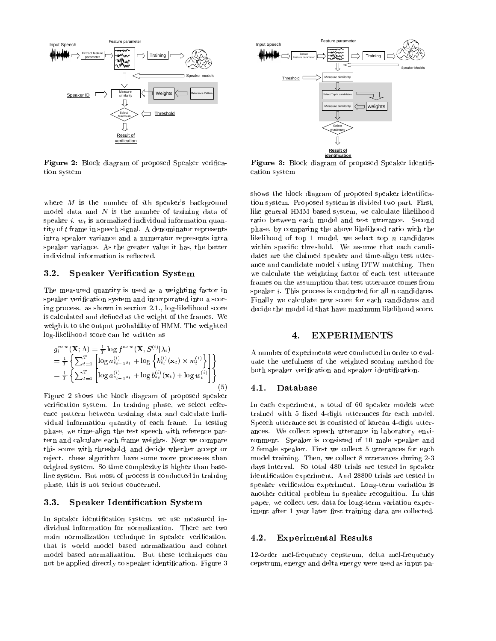

Figure 2: Block diagram of proposed Speaker verication system

where M is the number of *i*th speaker's background model data and  $N$  is the number of training data of speaker i.  $w_t$  is normalized individual information quantity of t frame in speech signal. A denominator represents intra speaker variance and a numerator represents intra speaker variance. As the greater value it has, the better individual information is reflected.

# **Speaker Verification System**

The measured quantity is used as a weighting factor in speaker verification system and incorporated into a scoring process. as shown in section 2.1., log-likelihood score is calculated and defined as the weight of the frames. We weigh it to the output probability of HMM. The weighted log-likelihood score can be written as

$$
g_i^{new}(\mathbf{X}; \Lambda) = \frac{1}{T} \log f^{new}(\mathbf{X}, S^{(i)} | \lambda_i)
$$
  
\n
$$
= \frac{1}{T} \left\{ \sum_{t=1}^T \left[ \log a_{s_{t-1}s_t}^{(i)} + \log \left\{ b_{s_t}^{(i)}(\mathbf{x}_t) \times w_t^{(i)} \right\} \right] \right\}
$$
ua  
\n
$$
= \frac{1}{T} \left\{ \sum_{t=1}^T \left[ \log a_{s_{t-1}s_t}^{(i)} + \log b_{s_t}^{(i)}(\mathbf{x}_t) + \log w_t^{(i)} \right] \right\}
$$
bo  
\n(5) 4

Figure 2 shows the block diagram of proposed speaker verification system. In training phase, we select reference pattern between training data and calculate individual information quantity of each frame. In testing phase, we time-align the test speech with reference pattern and calculate each frame weights. Next we compare this score with threshold, and decide whether accept or reject. these algorithm have some more processes than original system. So time complexity is higher than baseline system. But most of process is conducted in training phase, this is not serious concerned.

### 3.3.Speaker Identication System

In speaker identification system, we use measured individual information for normalization. There are two main normalization technique in speaker verification, that is world model based normalization and cohort model based normalization. But these techniques can not be applied directly to speaker identification. Figure 3



 $\mathcal{F}$  and  $\mathcal{F}$  are as an order of proposed Speaker in proposed speaker in  $\mathcal{F}$ cation system

shows the block diagram of proposed speaker identication system. Proposed system is divided two part. First, like general HMM based system, we calculate likelihood ratio between each model and test utterance. Second phase, by comparing the above likelihood ratio with the likelihood of top 1 model, we select top  $n$  candidates within specific threshold. We assume that each candidates are the claimed speaker and time-align test utterance and candidate model  $i$  using DTW matching. Then we calculate the weighting factor of each test utterance frames on the assumption that test utterance comes from speaker  $i$ . This process is conducted for all  $n$  candidates. Finally we calculate new score for each candidates and decide the model id that have maximum likelihood score.

### **EXPERIMENTS** 4.

A number of experiments were conducted in order to evaluate the usefulness of the weighted scoring method for both speaker verification and speaker identification.

### 4.1.Database

In each experiment, a total of 60 speaker models were trained with 5 fixed 4-digit utterances for each model. Speech utterance set is consisted of korean 4-digit utter ances. We collect speech utterance in laboratory envi ronment. Speaker is consisted of 10 male speaker and 2 female speaker. First we collect 5 utterances for each model training. Then, we collect 8 utterances during 2-3 days interval. So total 480 trials are tested in speaker identication experiment. And 28800 trials are tested in speaker verication experiment. Long-term variation is another critical problem in speaker recognition. In this paper, we collect test data for long-term variation experiment after 1 year later first training data are collected.

#### 4.2.Experimental Results

12-order mel-frequency cepstrum, delta mel-frequency cepstrum, energy and delta energy were used as input pa-